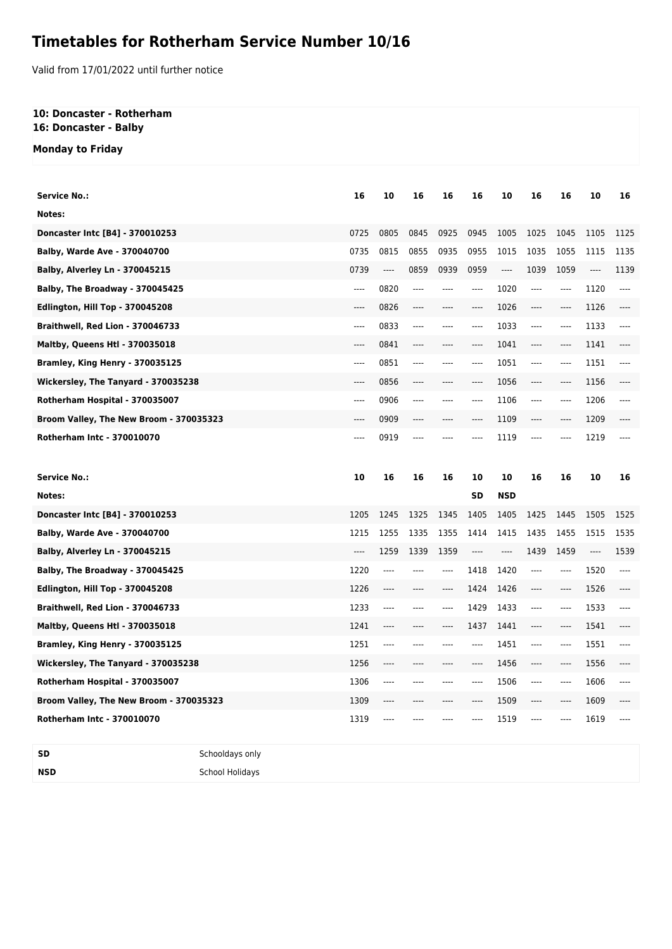## **Timetables for Rotherham Service Number 10/16**

Valid from 17/01/2022 until further notice

### **10: Doncaster - Rotherham 16: Doncaster - Balby**

# **Monday to Friday**

| <b>Service No.:</b>                     | 16    | 10    | 16   | 16   | 16        | 10                       | 16    | 16       | 10   | 16    |
|-----------------------------------------|-------|-------|------|------|-----------|--------------------------|-------|----------|------|-------|
| Notes:                                  |       |       |      |      |           |                          |       |          |      |       |
| Doncaster Intc [B4] - 370010253         | 0725  | 0805  | 0845 | 0925 | 0945      | 1005                     | 1025  | 1045     | 1105 | 1125  |
| <b>Balby, Warde Ave - 370040700</b>     | 0735  | 0815  | 0855 | 0935 | 0955      | 1015                     | 1035  | 1055     | 1115 | 1135  |
| <b>Balby, Alverley Ln - 370045215</b>   | 0739  | ----  | 0859 | 0939 | 0959      | $\overline{\phantom{a}}$ | 1039  | 1059     | ---- | 1139  |
| Balby, The Broadway - 370045425         | $---$ | 0820  | ---- | ---- | $---$     | 1020                     | ----  | $---$    | 1120 | $---$ |
| Edlington, Hill Top - 370045208         | ----  | 0826  | ---- | ---- | $\cdots$  | 1026                     | ----  | $\cdots$ | 1126 | ----  |
| Braithwell, Red Lion - 370046733        | ----  | 0833  | ---- | ---- | $---$     | 1033                     | ----  | $---$    | 1133 | $---$ |
| <b>Maltby, Queens Htl - 370035018</b>   | ----  | 0841  | ---- | ---- | $---$     | 1041                     | ----  | ----     | 1141 | ----  |
| Bramley, King Henry - 370035125         | $---$ | 0851  | ---- | ---- | $---$     | 1051                     | $---$ | $---$    | 1151 | $---$ |
| Wickersley, The Tanyard - 370035238     | ----  | 0856  | ---- |      | $\cdots$  | 1056                     | ----  | ----     | 1156 |       |
| Rotherham Hospital - 370035007          | ----  | 0906  | ---- | ---- | $---$     | 1106                     | ----  | ----     | 1206 | ----  |
| Broom Valley, The New Broom - 370035323 | ----  | 0909  | ---- |      | $---$     | 1109                     | ----  | ----     | 1209 |       |
| <b>Rotherham Intc - 370010070</b>       | ----  | 0919  | ---- |      |           | 1119                     | ----  | ----     | 1219 |       |
|                                         |       |       |      |      |           |                          |       |          |      |       |
|                                         |       |       |      |      |           |                          |       |          |      |       |
| <b>Service No.:</b>                     | 10    | 16    | 16   | 16   | 10        | 10                       | 16    | 16       | 10   | 16    |
| Notes:                                  |       |       |      |      | <b>SD</b> | <b>NSD</b>               |       |          |      |       |
| Doncaster Intc [B4] - 370010253         | 1205  | 1245  | 1325 | 1345 | 1405      | 1405                     | 1425  | 1445     | 1505 | 1525  |
| <b>Balby, Warde Ave - 370040700</b>     | 1215  | 1255  | 1335 | 1355 | 1414      | 1415                     | 1435  | 1455     | 1515 | 1535  |
| <b>Balby, Alverley Ln - 370045215</b>   | ----  | 1259  | 1339 | 1359 | $---$     | ----                     | 1439  | 1459     | ---- | 1539  |
| Balby, The Broadway - 370045425         | 1220  | $---$ | ---- | ---- | 1418      | 1420                     | $---$ | $---$    | 1520 | $---$ |
| Edlington, Hill Top - 370045208         | 1226  | ----  | ---- | ---- | 1424      | 1426                     | ----  | $---$    | 1526 | ----  |
| Braithwell, Red Lion - 370046733        | 1233  | $---$ | ---- | ---- | 1429      | 1433                     | ----  | $---$    | 1533 | ----  |
| <b>Maltby, Queens Htl - 370035018</b>   | 1241  | ----  | ---- | ---- | 1437      | 1441                     | ----  | ----     | 1541 | ----  |
| Bramley, King Henry - 370035125         | 1251  | $---$ | ---- |      | $---$     | 1451                     | ----  | ----     | 1551 | ----  |
| Wickersley, The Tanyard - 370035238     | 1256  | ----  |      | ---- | $---$     | 1456                     | ----  | ----     | 1556 | ----  |
| Rotherham Hospital - 370035007          | 1306  | ----  | ---- |      | $---$     | 1506                     | ----  | $\cdots$ | 1606 |       |
| Broom Valley, The New Broom - 370035323 | 1309  |       |      |      | ----      | 1509                     | ----  | ----     | 1609 |       |

**SD** Schooldays only **NSD** School Holidays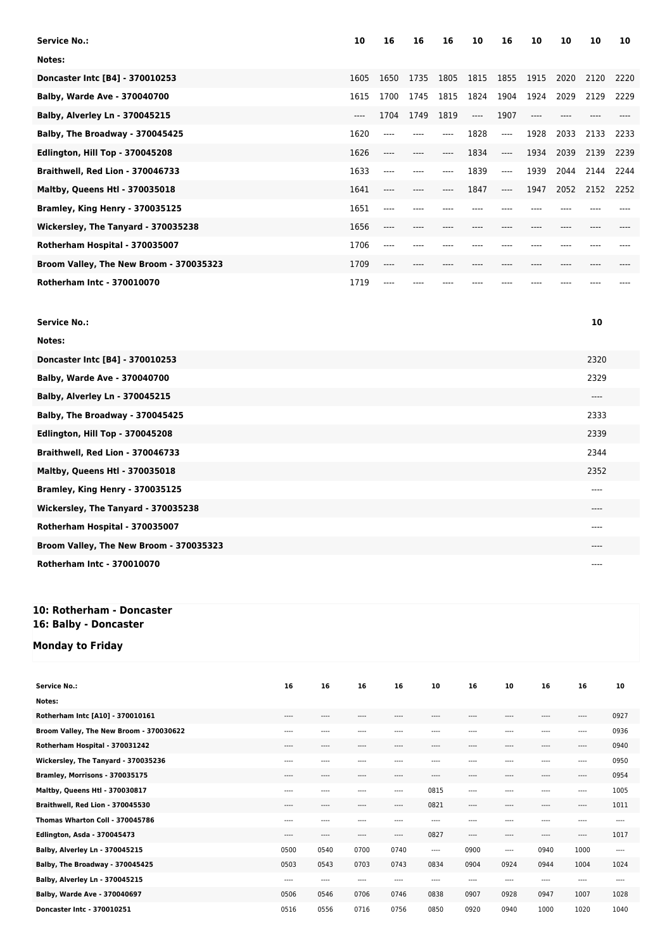| <b>Service No.:</b>                     | 10    | 16      | 16   | 16   | 10    | 16      | 10   | 10   | 10   | 10   |
|-----------------------------------------|-------|---------|------|------|-------|---------|------|------|------|------|
| Notes:                                  |       |         |      |      |       |         |      |      |      |      |
| Doncaster Intc [B4] - 370010253         | 1605  | 1650    | 1735 | 1805 | 1815  | 1855    | 1915 | 2020 | 2120 | 2220 |
| Balby, Warde Ave - 370040700            | 1615  | 1700    | 1745 | 1815 | 1824  | 1904    | 1924 | 2029 | 2129 | 2229 |
| Balby, Alverley Ln - 370045215          | $---$ | 1704    | 1749 | 1819 | $---$ | 1907    | ---- |      |      |      |
| Balby, The Broadway - 370045425         | 1620  | ----    |      | ---- | 1828  | $---$   | 1928 | 2033 | 2133 | 2233 |
| <b>Edlington, Hill Top - 370045208</b>  | 1626  | ----    | ---- | ---- | 1834  | $-----$ | 1934 | 2039 | 2139 | 2239 |
| Braithwell, Red Lion - 370046733        | 1633  | ----    | ---- | ---- | 1839  | ----    | 1939 | 2044 | 2144 | 2244 |
| <b>Maltby, Queens Htl - 370035018</b>   | 1641  | ----    |      | ---- | 1847  | $---$   | 1947 | 2052 | 2152 | 2252 |
| Bramley, King Henry - 370035125         | 1651  | $----$  |      |      |       |         |      |      |      |      |
| Wickersley, The Tanyard - 370035238     | 1656  | $-----$ | ---- | ---- |       |         | ---- |      |      |      |
| Rotherham Hospital - 370035007          | 1706  | ----    |      |      |       |         |      |      |      |      |
| Broom Valley, The New Broom - 370035323 | 1709  | ----    | ---- |      |       |         |      |      |      |      |
| <b>Rotherham Intc - 370010070</b>       | 1719  | $----$  |      |      |       |         |      |      |      |      |

| <b>Service No.:</b>                     | 10   |
|-----------------------------------------|------|
| Notes:                                  |      |
| Doncaster Intc [B4] - 370010253         | 2320 |
| Balby, Warde Ave - 370040700            | 2329 |
| Balby, Alverley Ln - 370045215          | ---- |
| Balby, The Broadway - 370045425         | 2333 |
| Edlington, Hill Top - 370045208         | 2339 |
| Braithwell, Red Lion - 370046733        | 2344 |
| Maltby, Queens Htl - 370035018          | 2352 |
| Bramley, King Henry - 370035125         | ---- |
| Wickersley, The Tanyard - 370035238     | ---- |
| Rotherham Hospital - 370035007          | ---- |
| Broom Valley, The New Broom - 370035323 | ---- |
| <b>Rotherham Intc - 370010070</b>       | ---- |

### **10: Rotherham - Doncaster 16: Balby - Doncaster**

### **Monday to Friday**

| <b>Service No.:</b>                     | 16    | 16    | 16       | 16       | 10    | 16        | 10        | 16       | 16       | 10       |
|-----------------------------------------|-------|-------|----------|----------|-------|-----------|-----------|----------|----------|----------|
| Notes:                                  |       |       |          |          |       |           |           |          |          |          |
| Rotherham Intc [A10] - 370010161        | $---$ | $---$ | $---$    | $---$    | $---$ | $---$     | $---$     | $\cdots$ | $\cdots$ | 0927     |
| Broom Valley, The New Broom - 370030622 | $---$ | $---$ | $---$    | $---$    | $---$ | $---$     | $- - - -$ | $---$    | $\cdots$ | 0936     |
| Rotherham Hospital - 370031242          | $---$ | $---$ | $\cdots$ | $---$    | ----  | $---$     | $---$     | $---$    | $\cdots$ | 0940     |
| Wickersley, The Tanyard - 370035236     | ----  | ----  | ----     | ----     | ----  | ----      |           | ----     | ----     | 0950     |
| Bramley, Morrisons - 370035175          | ----  | $---$ | $---$    | $---$    | $---$ | $- - - -$ | $---$     | $---$    | $\cdots$ | 0954     |
| Maltby, Queens Htl - 370030817          | ----  | $---$ | $\cdots$ | $\cdots$ | 0815  | $---$     | $- - - -$ | $---$    | $\cdots$ | 1005     |
| Braithwell, Red Lion - 370045530        | ----  | ----  | $---$    | $\cdots$ | 0821  | ----      | ----      | $---$    | ----     | 1011     |
| Thomas Wharton Coll - 370045786         | ----  | ----  | $---$    | ----     | ----  | $\cdots$  | ----      | $---$    | $---$    | $\cdots$ |
| Edlington, Asda - 370045473             | ----  | ----  | $\cdots$ | $---$    | 0827  | $---$     | $---$     | $---$    | $\cdots$ | 1017     |
| Balby, Alverley Ln - 370045215          | 0500  | 0540  | 0700     | 0740     | ----  | 0900      | $\cdots$  | 0940     | 1000     | $\cdots$ |
| Balby, The Broadway - 370045425         | 0503  | 0543  | 0703     | 0743     | 0834  | 0904      | 0924      | 0944     | 1004     | 1024     |
| Balby, Alverley Ln - 370045215          | ----  | ----  | $\cdots$ | $---$    | ----  | $---$     | $---$     | $---$    | $---$    | $---$    |
| Balby, Warde Ave - 370040697            | 0506  | 0546  | 0706     | 0746     | 0838  | 0907      | 0928      | 0947     | 1007     | 1028     |
| Doncaster Intc - 370010251              | 0516  | 0556  | 0716     | 0756     | 0850  | 0920      | 0940      | 1000     | 1020     | 1040     |